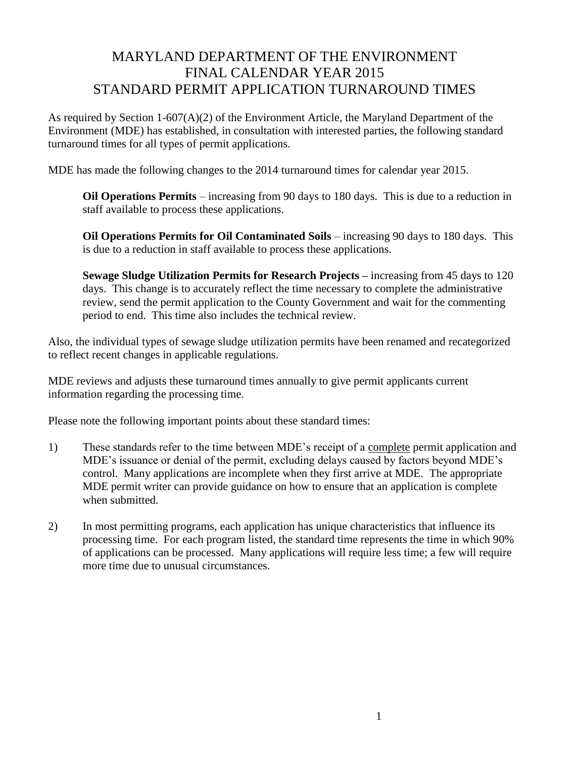## MARYLAND DEPARTMENT OF THE ENVIRONMENT FINAL CALENDAR YEAR 2015 STANDARD PERMIT APPLICATION TURNAROUND TIMES

As required by Section 1-607(A)(2) of the Environment Article, the Maryland Department of the Environment (MDE) has established, in consultation with interested parties, the following standard turnaround times for all types of permit applications.

MDE has made the following changes to the 2014 turnaround times for calendar year 2015.

**Oil Operations Permits** – increasing from 90 days to 180 days. This is due to a reduction in staff available to process these applications.

**Oil Operations Permits for Oil Contaminated Soils** – increasing 90 days to 180 days. This is due to a reduction in staff available to process these applications.

**Sewage Sludge Utilization Permits for Research Projects –** increasing from 45 days to 120 days. This change is to accurately reflect the time necessary to complete the administrative review, send the permit application to the County Government and wait for the commenting period to end. This time also includes the technical review.

Also, the individual types of sewage sludge utilization permits have been renamed and recategorized to reflect recent changes in applicable regulations.

MDE reviews and adjusts these turnaround times annually to give permit applicants current information regarding the processing time.

Please note the following important points about these standard times:

- 1) These standards refer to the time between MDE's receipt of a complete permit application and MDE's issuance or denial of the permit, excluding delays caused by factors beyond MDE's control. Many applications are incomplete when they first arrive at MDE. The appropriate MDE permit writer can provide guidance on how to ensure that an application is complete when submitted.
- 2) In most permitting programs, each application has unique characteristics that influence its processing time. For each program listed, the standard time represents the time in which 90% of applications can be processed. Many applications will require less time; a few will require more time due to unusual circumstances.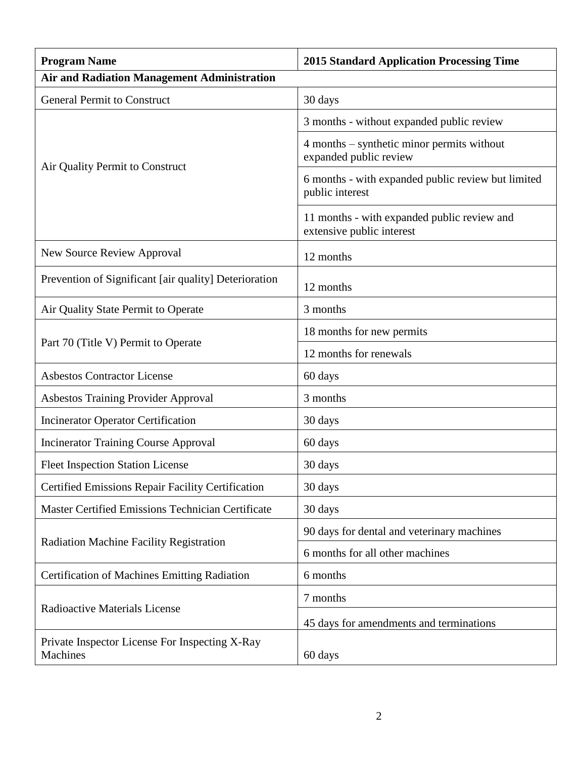| <b>Program Name</b>                                               | <b>2015 Standard Application Processing Time</b>                         |
|-------------------------------------------------------------------|--------------------------------------------------------------------------|
| <b>Air and Radiation Management Administration</b>                |                                                                          |
| <b>General Permit to Construct</b>                                | 30 days                                                                  |
| Air Quality Permit to Construct                                   | 3 months - without expanded public review                                |
|                                                                   | 4 months – synthetic minor permits without<br>expanded public review     |
|                                                                   | 6 months - with expanded public review but limited<br>public interest    |
|                                                                   | 11 months - with expanded public review and<br>extensive public interest |
| <b>New Source Review Approval</b>                                 | 12 months                                                                |
| Prevention of Significant [air quality] Deterioration             | 12 months                                                                |
| Air Quality State Permit to Operate                               | 3 months                                                                 |
|                                                                   | 18 months for new permits                                                |
| Part 70 (Title V) Permit to Operate                               | 12 months for renewals                                                   |
| <b>Asbestos Contractor License</b>                                | 60 days                                                                  |
| <b>Asbestos Training Provider Approval</b>                        | 3 months                                                                 |
| <b>Incinerator Operator Certification</b>                         | 30 days                                                                  |
| <b>Incinerator Training Course Approval</b>                       | 60 days                                                                  |
| <b>Fleet Inspection Station License</b>                           | 30 days                                                                  |
| <b>Certified Emissions Repair Facility Certification</b>          | 30 days                                                                  |
| <b>Master Certified Emissions Technician Certificate</b>          | 30 days                                                                  |
| <b>Radiation Machine Facility Registration</b>                    | 90 days for dental and veterinary machines                               |
|                                                                   | 6 months for all other machines                                          |
| <b>Certification of Machines Emitting Radiation</b>               | 6 months                                                                 |
| <b>Radioactive Materials License</b>                              | 7 months                                                                 |
|                                                                   | 45 days for amendments and terminations                                  |
| Private Inspector License For Inspecting X-Ray<br><b>Machines</b> | 60 days                                                                  |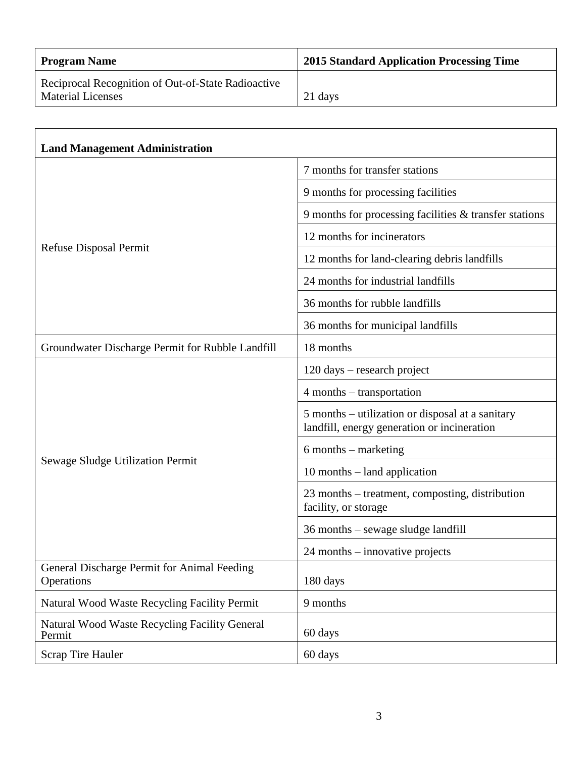| <b>Program Name</b>                                                            | 2015 Standard Application Processing Time |
|--------------------------------------------------------------------------------|-------------------------------------------|
| Reciprocal Recognition of Out-of-State Radioactive<br><b>Material Licenses</b> | 21 days                                   |

| <b>Land Management Administration</b>                     |                                                                                                 |
|-----------------------------------------------------------|-------------------------------------------------------------------------------------------------|
| <b>Refuse Disposal Permit</b>                             | 7 months for transfer stations                                                                  |
|                                                           | 9 months for processing facilities                                                              |
|                                                           | 9 months for processing facilities $\&$ transfer stations                                       |
|                                                           | 12 months for incinerators                                                                      |
|                                                           | 12 months for land-clearing debris landfills                                                    |
|                                                           | 24 months for industrial landfills                                                              |
|                                                           | 36 months for rubble landfills                                                                  |
|                                                           | 36 months for municipal landfills                                                               |
| Groundwater Discharge Permit for Rubble Landfill          | 18 months                                                                                       |
| Sewage Sludge Utilization Permit                          | 120 days – research project                                                                     |
|                                                           | 4 months – transportation                                                                       |
|                                                           | 5 months – utilization or disposal at a sanitary<br>landfill, energy generation or incineration |
|                                                           | $6$ months – marketing                                                                          |
|                                                           | $10$ months $-$ land application                                                                |
|                                                           | 23 months – treatment, composting, distribution<br>facility, or storage                         |
|                                                           | 36 months – sewage sludge landfill                                                              |
|                                                           | 24 months – innovative projects                                                                 |
| General Discharge Permit for Animal Feeding<br>Operations | 180 days                                                                                        |
| Natural Wood Waste Recycling Facility Permit              | 9 months                                                                                        |
| Natural Wood Waste Recycling Facility General<br>Permit   | 60 days                                                                                         |
| <b>Scrap Tire Hauler</b>                                  | 60 days                                                                                         |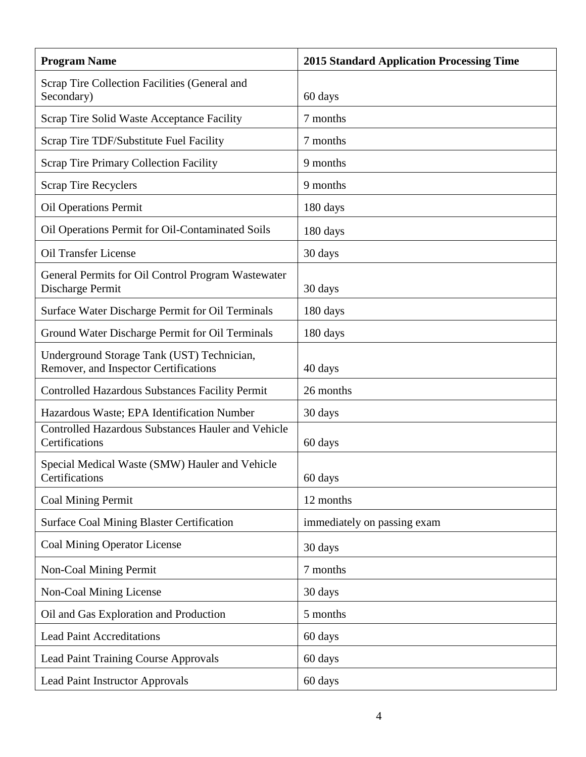| <b>Program Name</b>                                                                 | <b>2015 Standard Application Processing Time</b> |
|-------------------------------------------------------------------------------------|--------------------------------------------------|
| Scrap Tire Collection Facilities (General and<br>Secondary)                         | 60 days                                          |
| Scrap Tire Solid Waste Acceptance Facility                                          | 7 months                                         |
| Scrap Tire TDF/Substitute Fuel Facility                                             | 7 months                                         |
| <b>Scrap Tire Primary Collection Facility</b>                                       | 9 months                                         |
| <b>Scrap Tire Recyclers</b>                                                         | 9 months                                         |
| <b>Oil Operations Permit</b>                                                        | 180 days                                         |
| Oil Operations Permit for Oil-Contaminated Soils                                    | 180 days                                         |
| <b>Oil Transfer License</b>                                                         | 30 days                                          |
| General Permits for Oil Control Program Wastewater<br>Discharge Permit              | 30 days                                          |
| Surface Water Discharge Permit for Oil Terminals                                    | 180 days                                         |
| Ground Water Discharge Permit for Oil Terminals                                     | 180 days                                         |
| Underground Storage Tank (UST) Technician,<br>Remover, and Inspector Certifications | 40 days                                          |
| Controlled Hazardous Substances Facility Permit                                     | 26 months                                        |
| Hazardous Waste; EPA Identification Number                                          | 30 days                                          |
| <b>Controlled Hazardous Substances Hauler and Vehicle</b><br>Certifications         | 60 days                                          |
| Special Medical Waste (SMW) Hauler and Vehicle<br>Certifications                    | 60 days                                          |
| <b>Coal Mining Permit</b>                                                           | 12 months                                        |
| <b>Surface Coal Mining Blaster Certification</b>                                    | immediately on passing exam                      |
| <b>Coal Mining Operator License</b>                                                 | 30 days                                          |
| <b>Non-Coal Mining Permit</b>                                                       | 7 months                                         |
| Non-Coal Mining License                                                             | 30 days                                          |
| Oil and Gas Exploration and Production                                              | 5 months                                         |
| <b>Lead Paint Accreditations</b>                                                    | 60 days                                          |
| <b>Lead Paint Training Course Approvals</b>                                         | 60 days                                          |
| <b>Lead Paint Instructor Approvals</b>                                              | 60 days                                          |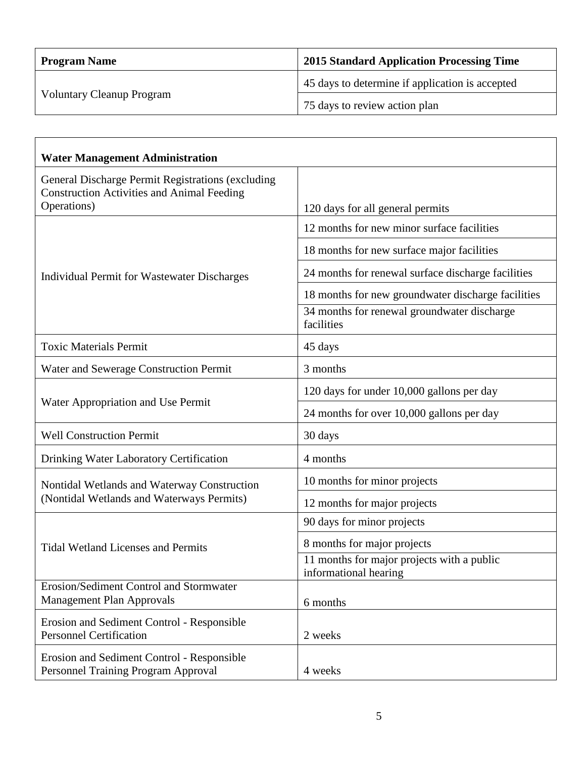| <b>Program Name</b>              | 2015 Standard Application Processing Time       |
|----------------------------------|-------------------------------------------------|
| <b>Voluntary Cleanup Program</b> | 45 days to determine if application is accepted |
|                                  | 75 days to review action plan                   |

| <b>Water Management Administration</b>                                                                 |                                                                     |
|--------------------------------------------------------------------------------------------------------|---------------------------------------------------------------------|
| General Discharge Permit Registrations (excluding<br><b>Construction Activities and Animal Feeding</b> |                                                                     |
| Operations)                                                                                            | 120 days for all general permits                                    |
| <b>Individual Permit for Wastewater Discharges</b>                                                     | 12 months for new minor surface facilities                          |
|                                                                                                        | 18 months for new surface major facilities                          |
|                                                                                                        | 24 months for renewal surface discharge facilities                  |
|                                                                                                        | 18 months for new groundwater discharge facilities                  |
|                                                                                                        | 34 months for renewal groundwater discharge<br>facilities           |
| <b>Toxic Materials Permit</b>                                                                          | 45 days                                                             |
| Water and Sewerage Construction Permit                                                                 | 3 months                                                            |
|                                                                                                        | 120 days for under 10,000 gallons per day                           |
| Water Appropriation and Use Permit                                                                     | 24 months for over 10,000 gallons per day                           |
| <b>Well Construction Permit</b>                                                                        | 30 days                                                             |
| Drinking Water Laboratory Certification                                                                | 4 months                                                            |
| Nontidal Wetlands and Waterway Construction<br>(Nontidal Wetlands and Waterways Permits)               | 10 months for minor projects                                        |
|                                                                                                        | 12 months for major projects                                        |
| <b>Tidal Wetland Licenses and Permits</b>                                                              | 90 days for minor projects                                          |
|                                                                                                        | 8 months for major projects                                         |
|                                                                                                        | 11 months for major projects with a public<br>informational hearing |
| Erosion/Sediment Control and Stormwater<br><b>Management Plan Approvals</b>                            | 6 months                                                            |
| Erosion and Sediment Control - Responsible<br><b>Personnel Certification</b>                           | 2 weeks                                                             |
| Erosion and Sediment Control - Responsible<br>Personnel Training Program Approval                      | 4 weeks                                                             |